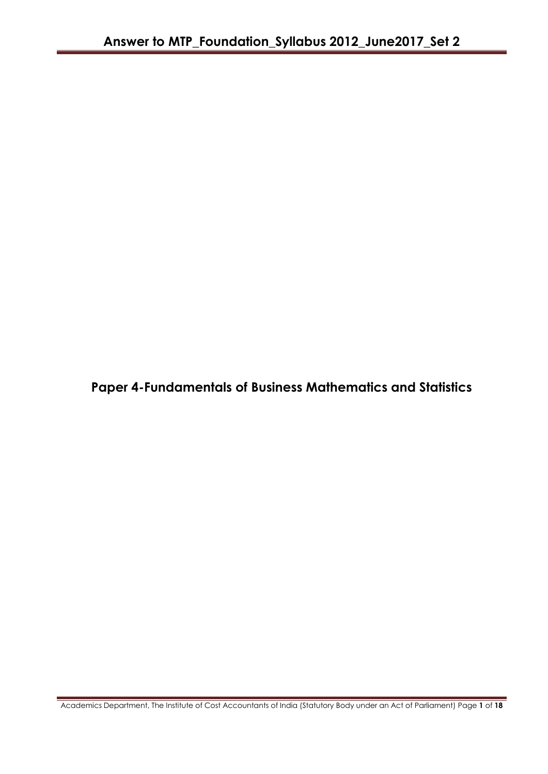**Paper 4-Fundamentals of Business Mathematics and Statistics**

Academics Department, The Institute of Cost Accountants of India (Statutory Body under an Act of Parliament) Page **1** of **18**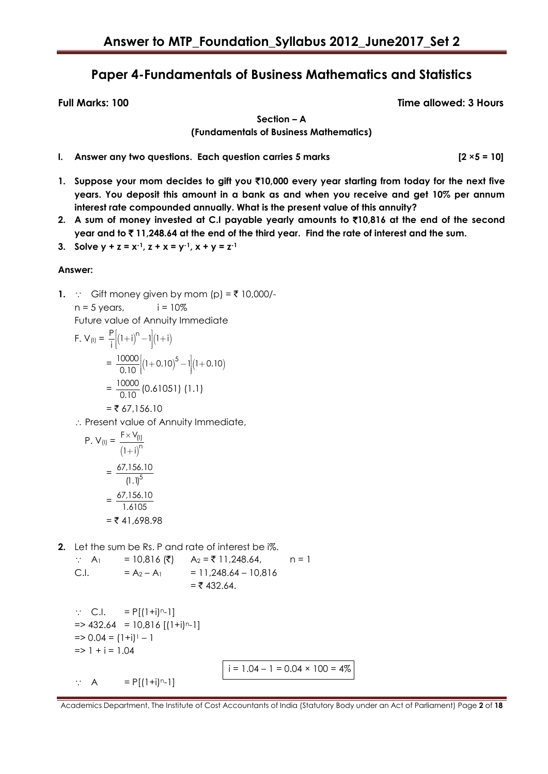# **Paper 4-Fundamentals of Business Mathematics and Statistics**

**Full Marks: 100 Time allowed: 3 Hours**

**Section – A (Fundamentals of Business Mathematics)**

- **I.** Answer any two questions. Each question carries 5 marks [2 ×5 = 10]
- **1. Suppose your mom decides to gift you** `**10,000 every year starting from today for the next five years. You deposit this amount in a bank as and when you receive and get 10% per annum interest rate compounded annually. What is the present value of this annuity?**
- **2. A sum of money invested at C.I payable yearly amounts to** `**10,816 at the end of the second year and to** ` **11,248.64 at the end of the third year. Find the rate of interest and the sum.**

3. Solve 
$$
y + z = x^{-1}
$$
,  $z + x = y^{-1}$ ,  $x + y = z^{-1}$ 

# **Answer:**

**1.**  $\therefore$  Gift money given by mom (p) =  $\overline{\tau}$  10,000/ $n = 5$  years,  $i = 10\%$ 

Future value of Annuity Immediate

F. V<sub>(I)</sub> = 
$$
\frac{P}{i} \Big[ (1+i)^n - 1 \Big] (1+i)
$$
  
=  $\frac{10000}{0.10} \Big[ (1+0.10)^5 - 1 \Big] (1+0.10)$   
=  $\frac{10000}{0.10} (0.61051) (1.1)$   
= ₹ 67,156.10

 $\therefore$  Present value of Annuity Immediate,

P. V<sub>(I)</sub> = 
$$
\frac{F \times V_{(I)}}{(1+i)^{n}}
$$
  
=  $\frac{67,156.10}{(1.1)^{5}}$   
=  $\frac{67,156.10}{1.6105}$   
= ₹ 41,698.98

**2.** Let the sum be Rs. P and rate of interest be i%.

: A<sub>1</sub> = 10,816 ( $\bar{z}$ ) A<sub>2</sub> =  $\bar{z}$  11,248.64, n = 1 C.I.  $= A_2 - A_1 = 11,248.64 - 10,816$  $=$  ₹ 432.64.

```
\therefore C.I. = P[(1+i)<sup>n</sup>-1]
\Rightarrow 432.64 = 10,816 [(1+i)<sup>n</sup>-1]
\Rightarrow 0.04 = (1+i)^{-1} - 1\Rightarrow 1 + i = 1.04
```
 $\therefore$  A = P[(1+i)<sup>n</sup>-1]

$$
i = 1.04 - 1 = 0.04 \times 100 = 4\%
$$

Academics Department, The Institute of Cost Accountants of India (Statutory Body under an Act of Parliament) Page **2** of **18**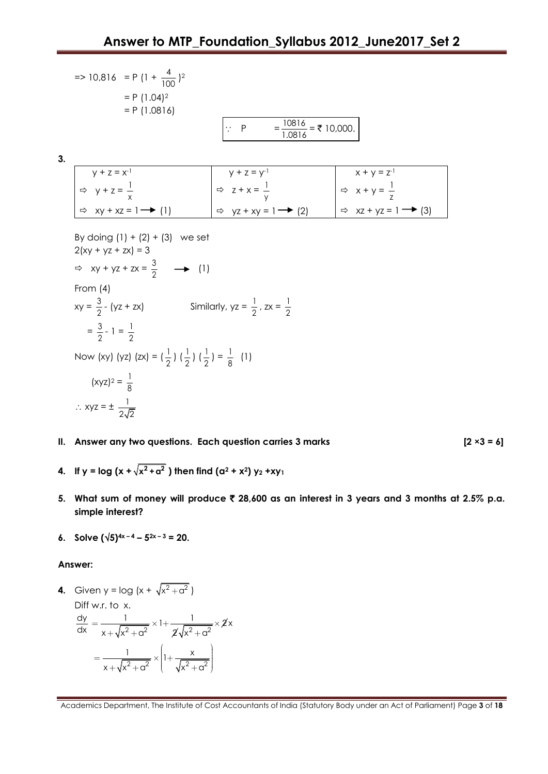|    | $\Rightarrow 10,816 = P(1 + \frac{4}{100})^2$                                                                                                                                                                                                                                                                                                                             |                                                       |                                             |
|----|---------------------------------------------------------------------------------------------------------------------------------------------------------------------------------------------------------------------------------------------------------------------------------------------------------------------------------------------------------------------------|-------------------------------------------------------|---------------------------------------------|
|    | $= P (1.04)^2$                                                                                                                                                                                                                                                                                                                                                            |                                                       |                                             |
|    | $= P(1.0816)$                                                                                                                                                                                                                                                                                                                                                             |                                                       |                                             |
|    |                                                                                                                                                                                                                                                                                                                                                                           | $=\frac{10816}{1.0816}$ = ₹ 10,000.<br>$\therefore$ P |                                             |
|    |                                                                                                                                                                                                                                                                                                                                                                           |                                                       |                                             |
| 3. |                                                                                                                                                                                                                                                                                                                                                                           |                                                       |                                             |
|    | $y + z = x^{-1}$                                                                                                                                                                                                                                                                                                                                                          | $y + z = y^{-1}$                                      | $x + y = z^{-1}$                            |
|    | $Arr y + z = \frac{1}{x}$                                                                                                                                                                                                                                                                                                                                                 | $Arr z + x = \frac{1}{y}$                             | $Arr x + y = \frac{1}{z}$                   |
|    | $\Rightarrow$ xy + xz = 1 $\rightarrow$ (1)                                                                                                                                                                                                                                                                                                                               | $\Rightarrow$ yz + xy = 1 $\rightarrow$ (2)           | $\Rightarrow$ xz + yz = 1 $\rightarrow$ (3) |
|    | By doing $(1) + (2) + (3)$ we set<br>$2(xy + yz + zx) = 3$<br>$Arr xy + yz + zx = \frac{3}{2}$ $\longrightarrow$ (1)<br>From $(4)$<br>$xy = \frac{3}{2} - (yz + zx)$<br>$=\frac{3}{2} - 1 = \frac{1}{2}$<br>Now (xy) (yz) (zx) = $(\frac{1}{2}) (\frac{1}{2}) (\frac{1}{2}) = \frac{1}{8}$ (1)<br>$(xyz)^2 = \frac{1}{8}$<br>$\therefore$ Xyz = $\pm \frac{1}{2\sqrt{2}}$ | Similarly, $yz = \frac{1}{2}$ , $zx = \frac{1}{2}$    |                                             |

**II. Answer any two questions. Each question carries 3 marks [2 ×3 = 6]** 

- **4.** If y = log (x +  $\sqrt{x^2 + a^2}$  ) then find (a<sup>2</sup> + x<sup>2</sup>) y<sub>2</sub> +xy<sub>1</sub>
- **5. What sum of money will produce** ` **28,600 as an interest in 3 years and 3 months at 2.5% p.a. simple interest?**
- **6. Solve**  $(\sqrt{5})^{4x-4} 5^{2x-3} = 20$ .

#### **Answer:**

**4.** Given y =  $log(x + \sqrt{x^2 + a^2})$ 

Diff w.r. to 
$$
x
$$
.

$$
\frac{dy}{dx} = \frac{1}{x + \sqrt{x^2 + a^2}} \times 1 + \frac{1}{\sqrt{x^2 + a^2}} \times \sqrt{x^2 + a^2}
$$

$$
= \frac{1}{x + \sqrt{x^2 + a^2}} \times \left(1 + \frac{x}{\sqrt{x^2 + a^2}}\right)
$$

Academics Department, The Institute of Cost Accountants of India (Statutory Body under an Act of Parliament) Page **3** of **18**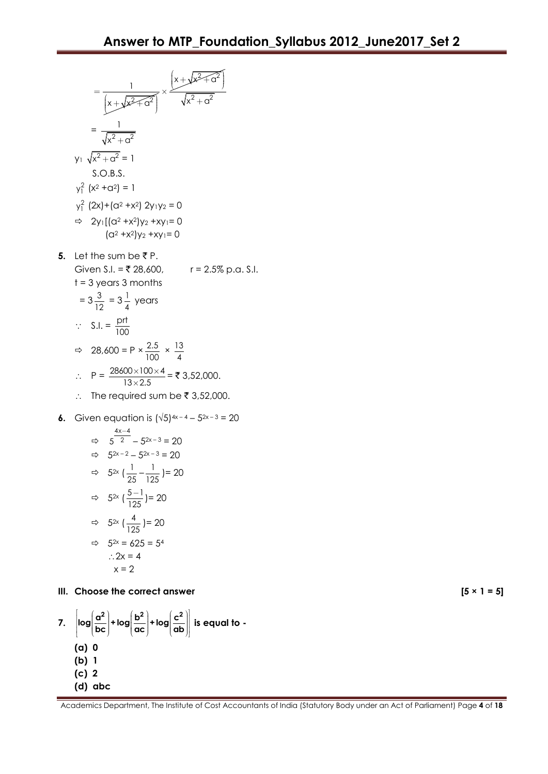$$
\frac{1}{x + \sqrt{x^2 + a^2}} \times \frac{x + \sqrt{x^2 + a^2}}{\sqrt{x^2 + a^2}}
$$
\n= $\frac{1}{\sqrt{x^2 + a^2}}$   
\n
$$
y_1 \sqrt{x^2 + a^2} = 1
$$
\nS.O.B.S.  
\n
$$
y_1^2 (x^2 + a^2) = 1
$$
\n
$$
y_1^2 (2x) + (a^2 + x^2) y_1 y_2 = 0
$$
\n⇒  $2y_1 [(a^2 + x^2) y_2 + xy_1 = 0$   
\n $(a^2 + x^2) y_2 + xy_1 = 0$   
\n65. Let the sum be ₹P.  
\nGiven S.I. = ₹ 28,600, r = 2.5% p.a. S.I.  
\nt = 3 years 3 months  
\n=  $3\frac{3}{12} = 3\frac{1}{4}$  years  
\n $\therefore$  S.I. =  $\frac{prt}{100}$   
\n⇒  $28,600 = P \times \frac{2.5}{100} \times \frac{13}{4}$   
\n $\therefore P = \frac{28600 \times 100 \times 4}{13 \times 2.5} = ₹ 3,52,000.$   
\n6. Given equation is  $(\sqrt{5})^{4x-4} - 5^{2x-3} = 20$   
\n⇒  $5^{\frac{4x-4}{2}} - 5^{2x-3} = 20$   
\n⇒  $5^{2x} (\frac{1}{25} - \frac{1}{125}) = 20$   
\n⇒  $5^{2x} (\frac{1}{125}) = 20$   
\n⇒  $5^{2x} (\frac{4}{125}) = 20$   
\n⇒  $5^{2x} (\frac{4}{125}) = 20$   
\n⇒  $5^{2x} = 625 = 54$   
\n∴ 2x = 4

$$
x = 2
$$

# **III.** Choose the correct answer  $[5 \times 1 = 5]$



Academics Department, The Institute of Cost Accountants of India (Statutory Body under an Act of Parliament) Page **4** of **18**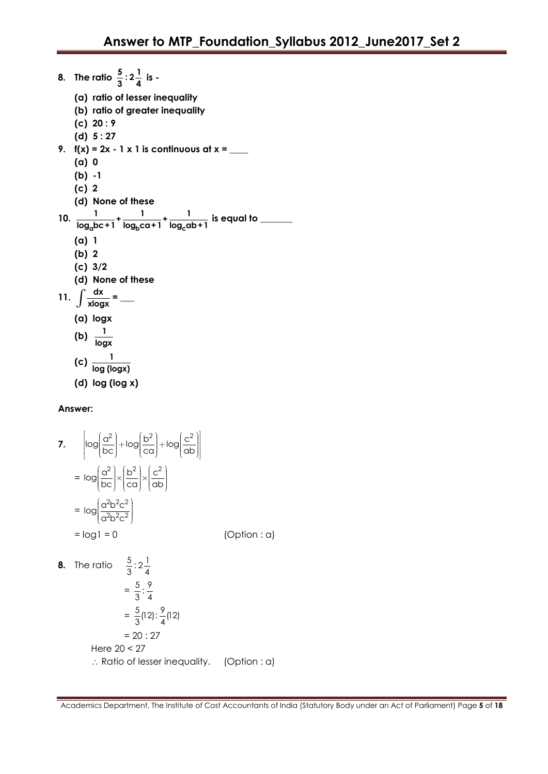**8.** The ratio  $\frac{5}{3}$  :  $2\frac{1}{4}$  is -**(a) ratio of lesser inequality (b) ratio of greater inequality (c) 20 : 9 (d) 5 : 27 9. f(x) = 2x - 1 x 1 is continuous at x = \_\_\_\_ (a) 0 (b) -1 (c) 2 (d) None of these** 10.  $\frac{1}{\log_a bc + 1} + \frac{1}{\log_b ca + 1} + \frac{1}{\log_c ba + 1}$ **1 1 1 + + log bc+1 log ca+1 log ab+1 is equal to \_\_\_\_\_\_\_ (a) 1 (b) 2 (c) 3/2 (d) None of these** 11.  $\int \frac{dx}{x \log x}$  $\frac{u}{x \log x} =$ **(a) logx** (b)  $\frac{1}{1}$ **logx**  $(c) \frac{1}{(c)}$ **log (logx) (d) log (log x)**

# **Answer:**

7. 
$$
\begin{bmatrix} \log\left(\frac{\alpha^2}{bc}\right) + \log\left(\frac{b^2}{ca}\right) + \log\left(\frac{c^2}{ab}\right) \end{bmatrix}
$$
  
\n
$$
= \log\left(\frac{\alpha^2}{bc}\right) \times \left(\frac{b^2}{ca}\right) \times \left(\frac{c^2}{ab}\right)
$$
  
\n
$$
= \log\left(\frac{\alpha^2 b^2 c^2}{\alpha^2 b^2 c^2}\right)
$$
  
\n
$$
= \log 1 = 0 \qquad \text{(Option : a)}
$$
  
\n8. The ratio 
$$
\frac{5}{3} : 2\frac{1}{4}
$$
  
\n
$$
= \frac{5}{3} : \frac{9}{4}
$$
  
\n
$$
= \frac{5}{3} (12) : \frac{9}{4} (12)
$$

$$
= 20 : 27
$$
  
Here 20 < 27  

$$
\therefore
$$
 Ratio of lesser inequality. (Option : a)

Academics Department, The Institute of Cost Accountants of India (Statutory Body under an Act of Parliament) Page **5** of **18**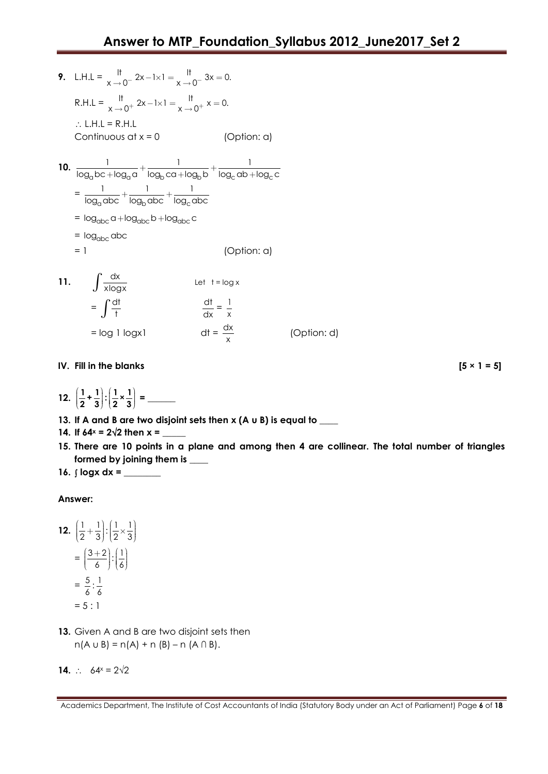- **9.** L.H.L =  $\frac{11}{x} 2x 1 \times 1 = \frac{11}{x} 3x = 0.$ R.H.L =  $\frac{11}{x \to 0^+} 2x - 1 \times 1 = \frac{11}{x \to 0^+} x = 0.$  $\therefore$  L.H.L = R.H.L Continuous at  $x = 0$  (Option: a) **10.**  $\frac{1}{\log_a bc + \log_a a} + \frac{1}{\log_b ca + \log_b b} + \frac{1}{\log_c ab + \log_c b}$  $\frac{1}{1} + \frac{1}{1} + \frac{1}{1} + \frac{1}{1}$  $\frac{1}{\log_{a}bc + \log_{a}a} + \frac{1}{\log_{b}ca + \log_{b}b} + \frac{1}{\log_{c}ab + \log_{c}c}$  $=\frac{1}{\log_{\alpha} \text{abc}} + \frac{1}{\log_{\beta} \text{abc}} + \frac{1}{\log_{\alpha} \beta}$  $1 \t 1 \t 1$  $\frac{1}{\log_{\alpha} \text{abc}} + \frac{1}{\log_{\alpha} \text{abc}} + \frac{1}{\log_{\alpha} \text{abc}}$  $= \log_{abc} a + \log_{abc} b + \log_{abc} c$ = log<sub>abc</sub> abc = 1 (Option: a) **11.**  $\int \frac{dx}{x \log x}$ Let  $t = \log x$  $=\int \frac{dt}{t}$ dt  $\frac{dt}{dx} = \frac{1}{x}$ x
	-

 $=$  log 1 logx1

**IV.** Fill in the blanks  $[5 \times 1 = 5]$ 

12. 
$$
\left(\frac{1}{2} + \frac{1}{3}\right) : \left(\frac{1}{2} \times \frac{1}{3}\right) =
$$

**13. If A and B are two disjoint sets then x (A u B) is equal to \_\_\_\_**

dx x

- **14.** If  $64^x = 2\sqrt{2}$  then  $x =$
- **15. There are 10 points in a plane and among then 4 are collinear. The total number of triangles formed by joining them is \_\_\_\_**

(Option: d)

**16. logx dx = \_\_\_\_\_\_\_\_**

# **Answer:**

$$
12. \left(\frac{1}{2} + \frac{1}{3}\right) : \left(\frac{1}{2} \times \frac{1}{3}\right)
$$

$$
= \left(\frac{3+2}{6}\right) : \left(\frac{1}{6}\right)
$$

$$
= \frac{5}{6} : \frac{1}{6}
$$

$$
= 5 : 1
$$

**13.** Given A and B are two disjoint sets then  $n(A \cup B) = n(A) + n(B) - n(A \cap B).$ 

**14.**  $\therefore$  64x = 2 $\sqrt{2}$ 

Academics Department, The Institute of Cost Accountants of India (Statutory Body under an Act of Parliament) Page **6** of **18**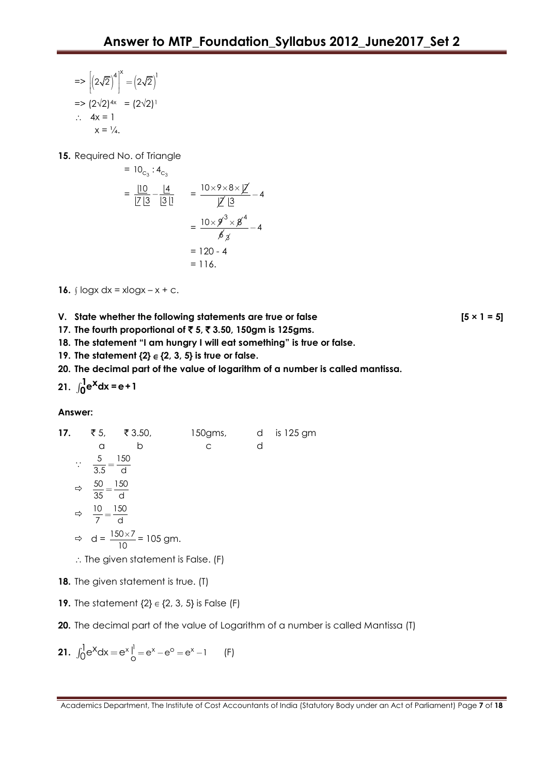$=$   $\left| \begin{pmatrix} 2\sqrt{2} \end{pmatrix} \right|$   $= \left| \begin{pmatrix} 2\sqrt{2} \end{pmatrix} \right|$  $[(2\sqrt{2})^4]^{\times} = (2\sqrt{2})^1$  $\Rightarrow$  (2 $\sqrt{2}$ )<sup>4x</sup> = (2 $\sqrt{2}$ )<sup>1</sup>  $\therefore$  4x = 1  $x = \frac{1}{4}$ .

15. Required No. of Triangle

$$
= 10_{c_3} : 4_{c_3}
$$
  
=  $\frac{|10|}{|Z|} = \frac{|4|}{|3|} = \frac{10 \times 9 \times 8 \times |Z|}{|Z|} = 4$   
=  $\frac{10 \times 9^3 \times 8^4}{6} = 4$   
= 120 - 4  
= 116.

**16.**  $\log x \, dx = x \log x - x + c$ .

**V.** State whether the following statements are true or false  $[5 \times 1 = 5]$ 

**17. The fourth proportional of** ` **5,** ` **3.50, 150gm is 125gms.**

**18. The statement "I am hungry I will eat something" is true or false.**

**19.** The statement  $\{2\} \in \{2, 3, 5\}$  is true or false.

**20. The decimal part of the value of logarithm of a number is called mantissa.**

**21.**  $\int_0^1 e^x dx = e + 1$ 

**Answer:**

**17.** ₹5, ₹3.50, 150gms, d is 125 gm a b c d  $\therefore \quad \frac{5}{2.5} = \frac{150}{1}$  $\frac{3}{3.5} = \frac{18}{d}$  $\Rightarrow \quad \frac{50}{25} = \frac{150}{15}$  $\frac{35}{35} = \frac{15}{d}$  $\Rightarrow \quad \frac{10}{7} = \frac{150}{1}$  $\frac{18}{7} = \frac{180}{d}$  $\Rightarrow$  d =  $\frac{150 \times 7}{10}$ 10  $\frac{\times 7}{\text{m}}$  = 105 gm.  $\therefore$  The given statement is False. (F)

**18.** The given statement is true. (T)

**19.** The statement  $\{2\} \in \{2, 3, 5\}$  is False  $(F)$ 

**20.** The decimal part of the value of Logarithm of a number is called Mantissa (T)

**21.**  $\int_0^1 e^x dx = e^x \Big|_0^1 = e^x - e^0 = e^x - 1$ (F)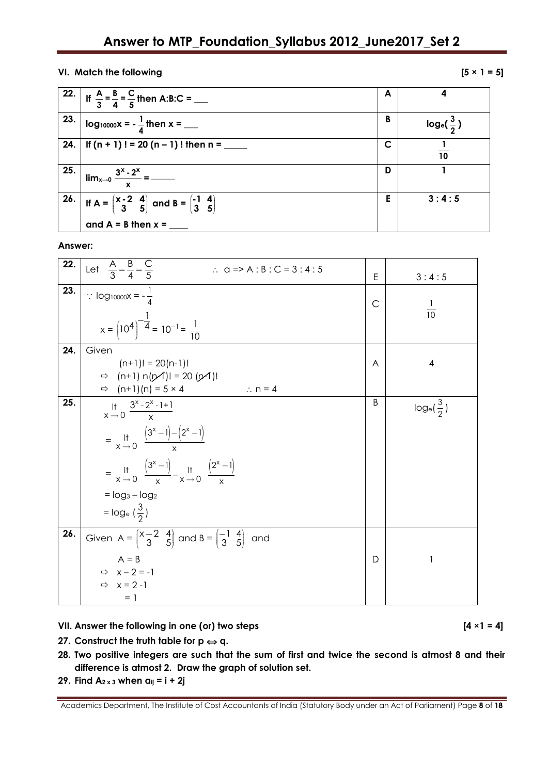# **VI.** Match the following  $[5 \times 1 = 5]$

|     | 22. If $\frac{A}{3} = \frac{B}{4} = \frac{C}{5}$ then A:B:C = ___                                                   | A | 4                    |
|-----|---------------------------------------------------------------------------------------------------------------------|---|----------------------|
| 23. | $log_{10000}x = -\frac{1}{4}$ then x = ___                                                                          | B | $log_e(\frac{3}{2})$ |
|     |                                                                                                                     | C | 10                   |
| 25. | x                                                                                                                   | D |                      |
|     | 26. If $A = \begin{pmatrix} x-2 & 4 \\ 3 & 5 \end{pmatrix}$ and $B = \begin{pmatrix} -1 & 4 \\ 3 & 5 \end{pmatrix}$ | E | 3:4:5                |
|     | and $A = B$ then $x =$                                                                                              |   |                      |

**Answer:**

| 22. | Let $\frac{A}{3} = \frac{B}{4} = \frac{C}{5}$<br>$\therefore$ a => A : B : C = 3 : 4 : 5                               | E            | 3:4:5                |
|-----|------------------------------------------------------------------------------------------------------------------------|--------------|----------------------|
| 23. | $\therefore$ log <sub>10000</sub> x = $-\frac{1}{4}$                                                                   | $\mathsf{C}$ |                      |
|     |                                                                                                                        |              | $\frac{1}{10}$       |
|     | $x = (10^4)^{-\frac{1}{4}} = 10^{-1} = \frac{1}{10}$                                                                   |              |                      |
| 24. | Given                                                                                                                  |              |                      |
|     | $(n+1)! = 20(n-1)!$                                                                                                    | A            | $\overline{4}$       |
|     | $\Rightarrow$ (n+1) n(p4)! = 20 (p4)!                                                                                  |              |                      |
|     | $\Rightarrow$ (n+1)(n) = 5 × 4<br>$\therefore$ n = 4                                                                   |              |                      |
| 25. | $\lim_{x \to 0} \frac{3^{x} - 2^{x} - 1 + 1}{x}$                                                                       | B            | $log_e(\frac{3}{2})$ |
|     |                                                                                                                        |              |                      |
|     | $=\frac{11}{x\rightarrow 0} \frac{(3^{x}-1)-(2^{x}-1)}{x}$                                                             |              |                      |
|     | = $\frac{11}{x}$ $\frac{(3^{x}-1)}{x}$ $\frac{11}{x}$ $\frac{(2^{x}-1)}{x}$                                            |              |                      |
|     | $=$ $log_3 - log_2$                                                                                                    |              |                      |
|     | $=$ log <sub>e</sub> $(\frac{3}{2})$                                                                                   |              |                      |
| 26. | Given $A = \begin{pmatrix} x-2 & 4 \\ 3 & 5 \end{pmatrix}$ and $B = \begin{pmatrix} -1 & 4 \\ 3 & 5 \end{pmatrix}$ and |              |                      |
|     | $A = B$                                                                                                                | D            |                      |
|     | $Arr x-2=-1$                                                                                                           |              |                      |
|     | $\Rightarrow x = 2 - 1$                                                                                                |              |                      |
|     | $= 1$                                                                                                                  |              |                      |

**VII. Answer the following in one (or) two steps [4 ×1 = 4]** 

- **27.** Construct the truth table for  $p \Leftrightarrow q$ .
- **28. Two positive integers are such that the sum of first and twice the second is atmost 8 and their difference is atmost 2. Draw the graph of solution set.**
- **29. Find A2 x 3 when aij = i + 2j**

Academics Department, The Institute of Cost Accountants of India (Statutory Body under an Act of Parliament) Page **8** of **18**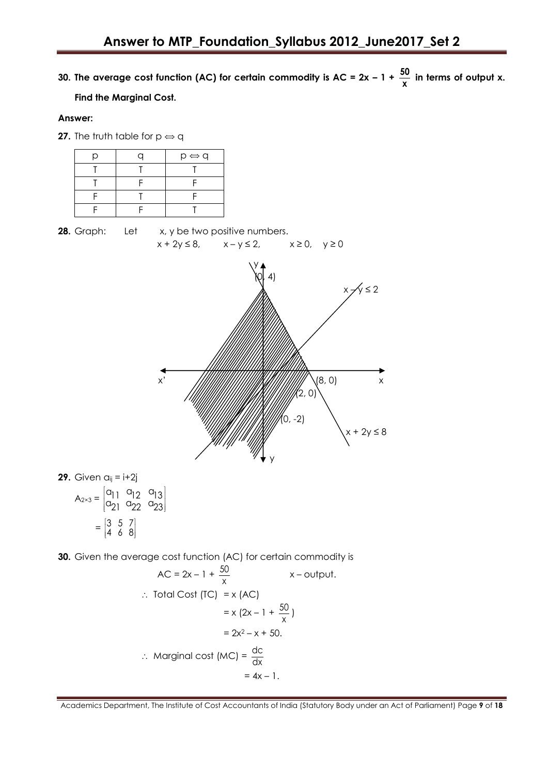**30. The average cost function (AC) for certain commodity is AC = 2x – 1 + 50**  $\frac{30}{x}$  in terms of output x.

# **Find the Marginal Cost.**

#### **Answer:**

**27.** The truth table for  $p \Leftrightarrow q$ 

| n | $p \Leftrightarrow q$ |
|---|-----------------------|
|   |                       |
|   |                       |
|   |                       |
|   |                       |

**28.** Graph: Let x, y be two positive numbers.  $x + 2y \le 8$ ,  $x - y \le 2$ ,  $x \ge 0$ ,  $y \ge 0$ y  $[0, 4]$  $\lambda$   $\times \sqrt{y} \leq 2$ x' (8, 0) x  $(2, 0)$  $(0, -2)$  $2y \leq 8$ y **29.** Given aij = i+2j

7. Given 
$$
a_{ij} = 1+2j
$$
  
\n
$$
A_{2\times 3} = \begin{bmatrix} a_{11} & a_{12} & a_{13} \\ a_{21} & a_{22} & a_{23} \end{bmatrix}
$$
\n
$$
= \begin{bmatrix} 3 & 5 & 7 \\ 4 & 6 & 8 \end{bmatrix}
$$

**30.** Given the average cost function (AC) for certain commodity is

$$
AC = 2x - 1 + \frac{50}{x} \qquad x - \text{output.}
$$
\n.: Total Cost (TC) = x (AC)  
\n= x (2x - 1 + \frac{50}{x})  
\n= 2x<sup>2</sup> - x + 50.  
\n.: Marginal cost (MC) =  $\frac{dc}{dx}$   
\n= 4x - 1.

Academics Department, The Institute of Cost Accountants of India (Statutory Body under an Act of Parliament) Page **9** of **18**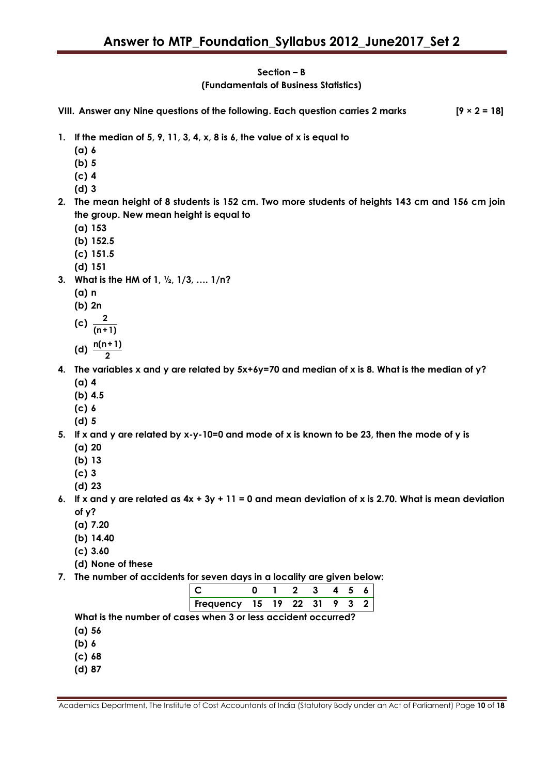# **Section – B (Fundamentals of Business Statistics)**

**VIII. Answer any Nine questions of the following. Each question carries 2 marks [9 × 2 = 18] 1. If the median of 5, 9, 11, 3, 4, x, 8 is 6, the value of x is equal to (a) 6 (b) 5 (c) 4 (d) 3 2. The mean height of 8 students is 152 cm. Two more students of heights 143 cm and 156 cm join the group. New mean height is equal to (a) 153 (b) 152.5 (c) 151.5 (d) 151 3. What is the HM of 1, ½, 1/3, …. 1/n? (a) n (b) 2n** (c)  $\frac{2}{\epsilon}$ **(n+1) (d) n(n+1) 2 4. The variables x and y are related by 5x+6y=70 and median of x is 8. What is the median of y? (a) 4 (b) 4.5 (c) 6 (d) 5 5. If x and y are related by x-y-10=0 and mode of x is known to be 23, then the mode of y is**

- **(a) 20**
- **(b) 13**
- **(c) 3**
- **(d) 23**
- **6. If x and y are related as 4x + 3y + 11 = 0 and mean deviation of x is 2.70. What is mean deviation of y?**
	- **(a) 7.20**
	- **(b) 14.40**
	- **(c) 3.60**
	- **(d) None of these**
- **7. The number of accidents for seven days in a locality are given below:**

| Frequency 15 19 22 31 9 3 |  |  |  |  |
|---------------------------|--|--|--|--|

**What is the number of cases when 3 or less accident occurred?**

- **(a) 56**
- **(b) 6**
- **(c) 68**
- **(d) 87**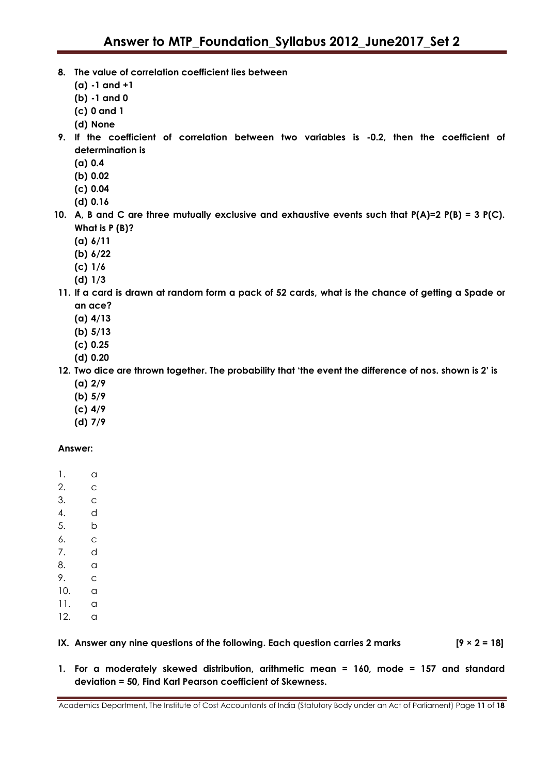- **8. The value of correlation coefficient lies between**
	- **(a) -1 and +1**
	- **(b) -1 and 0**
	- **(c) 0 and 1**
	- **(d) None**
- **9. If the coefficient of correlation between two variables is -0.2, then the coefficient of determination is**
	- **(a) 0.4**
	- **(b) 0.02**
	- **(c) 0.04**
	- **(d) 0.16**
- **10. A, B and C are three mutually exclusive and exhaustive events such that P(A)=2 P(B) = 3 P(C). What is P (B)?**
	- **(a) 6/11**
	- **(b) 6/22**
	- **(c) 1/6**
	- **(d) 1/3**
- **11. If a card is drawn at random form a pack of 52 cards, what is the chance of getting a Spade or an ace?**
	- **(a) 4/13**
	- **(b) 5/13**
	- **(c) 0.25**
	- **(d) 0.20**
- **12. Two dice are thrown together. The probability that "the event the difference of nos. shown is 2" is (a) 2/9**
	- **(b) 5/9**
	- **(c) 4/9**
	- **(d) 7/9**

# **Answer:**

- 1. a
- 2. c
- 3. c
- 4. d
- 5. b
- 6. c
- 7. d
- 8. a
- 9. c
- 10. a
- 11. a
- 12. a

# **IX. Answer any nine questions of the following. Each question carries 2 marks [9 × 2 = 18]**

**1. For a moderately skewed distribution, arithmetic mean = 160, mode = 157 and standard deviation = 50, Find Karl Pearson coefficient of Skewness.**

Academics Department, The Institute of Cost Accountants of India (Statutory Body under an Act of Parliament) Page **11** of **18**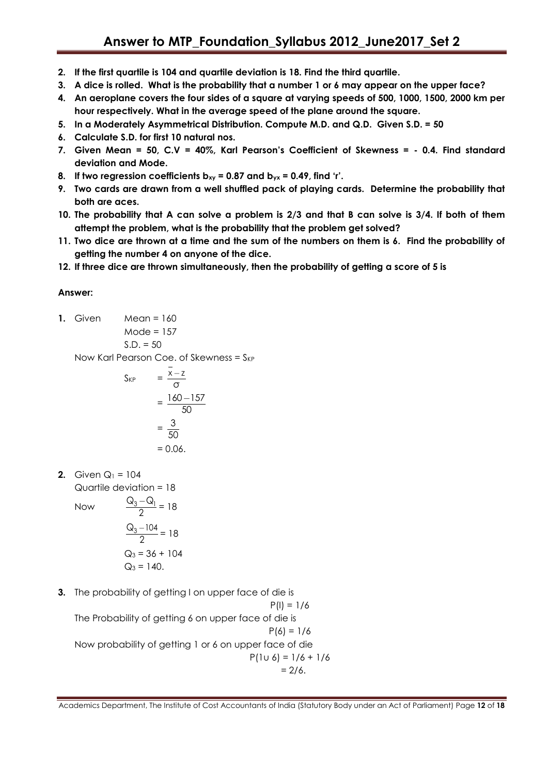- **2. If the first quartile is 104 and quartile deviation is 18. Find the third quartile.**
- **3. A dice is rolled. What is the probability that a number 1 or 6 may appear on the upper face?**
- **4. An aeroplane covers the four sides of a square at varying speeds of 500, 1000, 1500, 2000 km per hour respectively. What in the average speed of the plane around the square.**
- **5. In a Moderately Asymmetrical Distribution. Compute M.D. and Q.D. Given S.D. = 50**
- **6. Calculate S.D. for first 10 natural nos.**
- **7. Given Mean = 50, C.V = 40%, Karl Pearson"s Coefficient of Skewness = - 0.4. Find standard deviation and Mode.**
- **8. If two regression coefficients bxy = 0.87 and byx = 0.49, find "r".**
- **9. Two cards are drawn from a well shuffled pack of playing cards. Determine the probability that both are aces.**
- **10. The probability that A can solve a problem is 2/3 and that B can solve is 3/4. If both of them attempt the problem, what is the probability that the problem get solved?**
- **11. Two dice are thrown at a time and the sum of the numbers on them is 6. Find the probability of getting the number 4 on anyone of the dice.**
- **12. If three dice are thrown simultaneously, then the probability of getting a score of 5 is**

# **Answer:**

**1.** Given Mean = 160

 $S.D. = 50$ Now Karl Pearson Coe. of Skewness =  $S_{KP}$ 

 $Mode = 157$ 

$$
S_{KP} = \frac{\bar{x} - \bar{z}}{\sigma}
$$

$$
= \frac{160 - 157}{50}
$$

$$
= \frac{3}{50}
$$

$$
= 0.06.
$$

**2.** Given  $Q_1 = 104$ Quartile deviation = 18

Now

$$
\frac{Q_3 - Q_1}{2} = 18
$$
  

$$
\frac{Q_3 - 104}{2} = 18
$$
  

$$
Q_3 = 36 + 104
$$
  

$$
Q_3 = 140.
$$

**3.** The probability of getting I on upper face of die is

 $P(1) = 1/6$ The Probability of getting 6 on upper face of die is  $P(6) = 1/6$ Now probability of getting 1 or 6 on upper face of die  $P(1u 6) = 1/6 + 1/6$  $= 2/6.$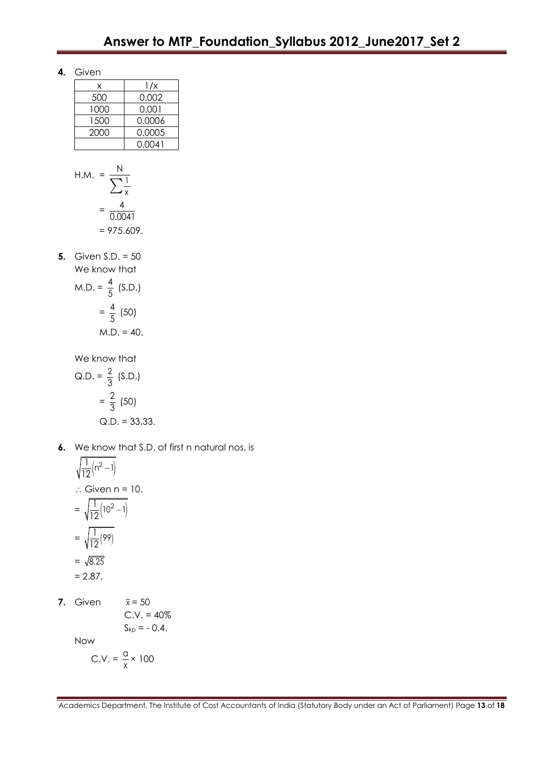**4.** Given

| x    | 1/x    |
|------|--------|
| 500  | 0.002  |
| 1000 | 0.001  |
| 1500 | 0.0006 |
| 2000 | 0.0005 |
|      | 0.0041 |

H.M. 
$$
=
$$
  $\frac{N}{\sum_{x} \frac{1}{x}}$   
 $=$   $\frac{4}{0.0041}$   
 $=$  975.609.

**5.** Given S.D. = 50 We know that  $M.D. = \frac{4}{5}$  $\frac{7}{5}$  (S.D.)  $=\frac{4}{5}$  $\frac{1}{5}$  (50)  $M.D. = 40.$ 

We know that

Q.D. = 
$$
\frac{2}{3}
$$
 (S.D.)  
=  $\frac{2}{3}$  (50)  
Q.D. = 33.33.

**6.** We know that S.D. of first n natural nos. is

$$
\sqrt{\frac{1}{12}} (n^2 - 1)
$$
  
\n
$$
\therefore \text{ Given } n = 10.
$$
  
\n
$$
= \sqrt{\frac{1}{12} (10^2 - 1)}
$$
  
\n
$$
= \sqrt{\frac{1}{12} (99)}
$$
  
\n
$$
= \sqrt{8.25}
$$
  
\n
$$
= 2.87.
$$

**7.** Given  $\overline{\mathsf{x}}$  = 50

C.V. = 40%  

$$
S_{kp}
$$
 = - 0.4.

Now

$$
C.V. = \frac{q}{x} \times 100
$$

Academics Department, The Institute of Cost Accountants of India (Statutory Body under an Act of Parliament) Page **13** of **18**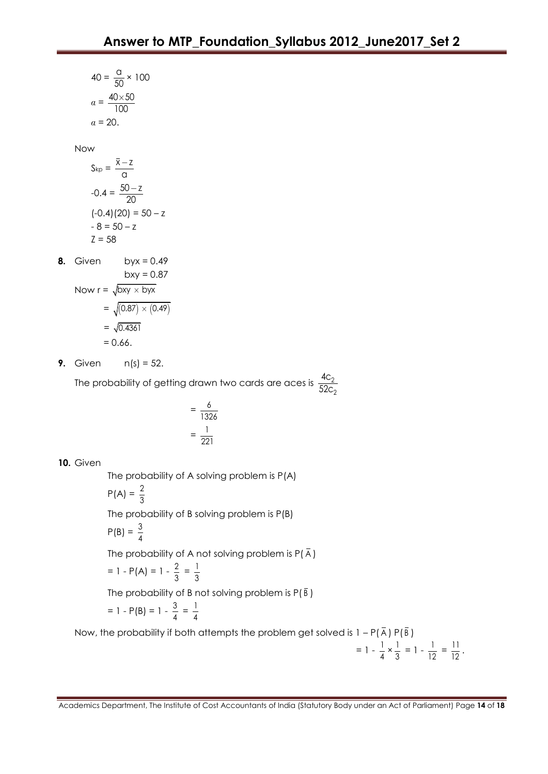40 = 
$$
\frac{a}{50} \times 100
$$
  
\n $a = \frac{40 \times 50}{100}$   
\n $a = 20$ .  
\nNow  
\n $S_{kp} = \frac{\overline{x} - \overline{z}}{\alpha}$   
\n-0.4 =  $\frac{50 - \overline{z}}{20}$   
\n(-0.4)(20) = 50 - z  
\n- 8 = 50 - z  
\n $\overline{z} = 58$   
\n8. Given byx = 0.49  
\nbyx = 0.87  
\nNow r =  $\sqrt{bxy \times byx}$   
\n=  $\sqrt{(0.87) \times (0.49)}$   
\n=  $\sqrt{0.4361}$   
\n= 0.66.  
\n9. Given n(s) = 52.

The probability of getting drawn two cards are aces is  $\frac{40}{500}$ 52c

> $=\frac{6}{100}$ 1326  $=\frac{1}{22}$ 221

**10.** Given

The probability of A solving problem is P(A)

$$
P(A) = \frac{2}{3}
$$

The probability of B solving problem is P(B)

$$
P(B) = \frac{3}{4}
$$

The probability of A not solving problem is  $P(\bar{A})$ 

$$
= 1 - P(A) = 1 - \frac{2}{3} = \frac{1}{3}
$$

The probability of B not solving problem is P( B )

$$
= 1 - P(B) = 1 - \frac{3}{4} = \frac{1}{4}
$$

Now, the probability if both attempts the problem get solved is  $1 - P(\overline{A}) P(\overline{B})$ 

$$
= 1 - \frac{1}{4} \times \frac{1}{3} = 1 - \frac{1}{12} = \frac{11}{12}.
$$

2 4c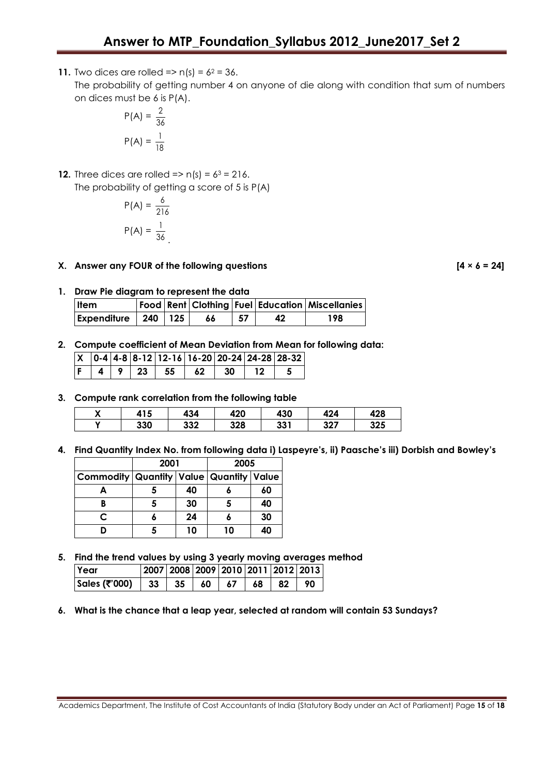**11.** Two dices are rolled =>  $n(s) = 6^2 = 36$ .

The probability of getting number 4 on anyone of die along with condition that sum of numbers on dices must be 6 is P(A).

$$
P(A) = \frac{2}{36}
$$

$$
P(A) = \frac{1}{18}
$$

**12.** Three dices are rolled =>  $n(s) = 6^3 = 216$ . The probability of getting a score of 5 is P(A)

$$
P(A) = \frac{6}{216}
$$

$$
P(A) = \frac{1}{36}
$$

**X. Answer any FOUR of the following questions [4 × 6 = 24]**

**1. Draw Pie diagram to represent the data**

| <b>Item</b>                 |  |    |     | Food   Rent   Clothing   Fuel   Education   Miscellanies |
|-----------------------------|--|----|-----|----------------------------------------------------------|
| Expenditure   $240$   $125$ |  | 66 | -57 | 198                                                      |

**2. Compute coefficient of Mean Deviation from Mean for following data:**

|  |  | $X$   0-4   4-8   8-12   12-16   16-20   20-24   24-28   28-32 |  |  |
|--|--|----------------------------------------------------------------|--|--|
|  |  | F   4   9   23   55   62   30   12                             |  |  |

**3. Compute rank correlation from the following table** 

| ` | $+15$<br>4 | 434 | 420 | 430 | 424 | 428 |
|---|------------|-----|-----|-----|-----|-----|
| v | 330        | 332 | 328 | 331 | 327 | 325 |

**4. Find Quantity Index No. from following data i) Laspeyre"s, ii) Paasche"s iii) Dorbish and Bowley"s**

|                                                 | 2001 |    | 2005 |    |  |
|-------------------------------------------------|------|----|------|----|--|
| Commodity   Quantity   Value   Quantity   Value |      |    |      |    |  |
|                                                 |      | 40 |      | 60 |  |
|                                                 | 5    | 30 |      | 40 |  |
| C                                               |      | 24 |      | 30 |  |
|                                                 | 5    | 10 | 10   | 40 |  |

**5. Find the trend values by using 3 yearly moving averages method**

| <b>Year</b>                 | 2007   2008   2009   2010   2011   2012   2013 |      |       |     |
|-----------------------------|------------------------------------------------|------|-------|-----|
| Sales (3000)   33   35   60 |                                                | 67 I | 68 82 | -90 |

**6. What is the chance that a leap year, selected at random will contain 53 Sundays?**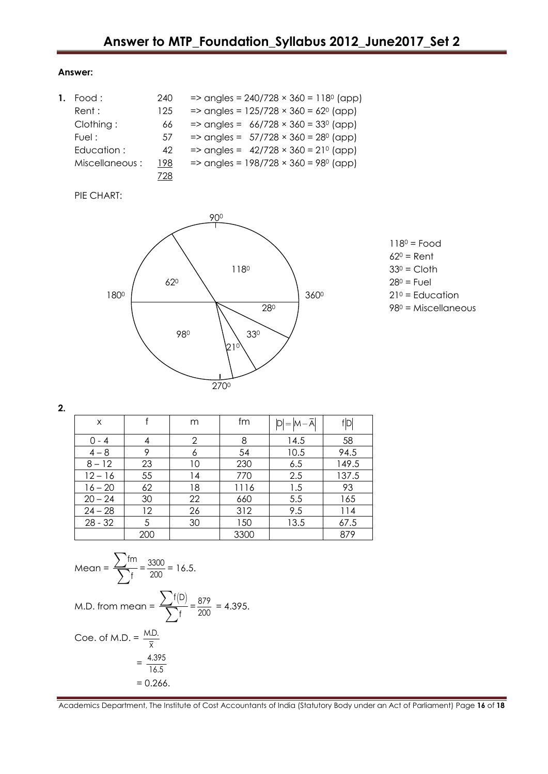#### **Answer:**

| Food :         | 240 | $\Rightarrow$ angles = 240/728 $\times$ 360 = 118 <sup>0</sup> (app) |
|----------------|-----|----------------------------------------------------------------------|
| Rent :         | 125 | $\Rightarrow$ angles = 125/728 $\times$ 360 = 62 <sup>0</sup> (app)  |
| Clothing:      | 66  | $\Rightarrow$ angles = 66/728 $\times$ 360 = 33 <sup>0</sup> (app)   |
| Fuel :         | 57  | $\Rightarrow$ angles = 57/728 $\times$ 360 = 28 <sup>0</sup> (app)   |
| Education :    | 42  | $\Rightarrow$ angles = 42/728 $\times$ 360 = 210 (app)               |
| Miscellaneous: | 198 | $\Rightarrow$ angles = 198/728 $\times$ 360 = 98 <sup>0</sup> (app)  |
|                | '28 |                                                                      |

# PIE CHART:



- $118<sup>0</sup>$  = Food  $62^0$  = Rent
- 
- 

**2.**

| X         |     | m  | fm   | $D = M - A$ | fD    |
|-----------|-----|----|------|-------------|-------|
| $0 - 4$   | 4   | 2  | 8    | 14.5        | 58    |
| $4 - 8$   | 9   | 6  | 54   | 10.5        | 94.5  |
| $8 - 12$  | 23  | 10 | 230  | 6.5         | 149.5 |
| $12 - 16$ | 55  | 14 | 770  | 2.5         | 137.5 |
| $16 - 20$ | 62  | 18 | 1116 | 1.5         | 93    |
| $20 - 24$ | 30  | 22 | 660  | 5.5         | 165   |
| $24 - 28$ | 12  | 26 | 312  | 9.5         | 114   |
| $28 - 32$ | 5   | 30 | 150  | 13.5        | 67.5  |
|           | 200 |    | 3300 |             | 879   |

Mean = 
$$
\frac{\sum fm}{\sum f} = \frac{3300}{200} = 16.5
$$
.  
M.D. from mean =  $\frac{\sum f(D)}{\sum f} = \frac{879}{200} = 4.395$ .  
Coe. of M.D. =  $\frac{M.D.}{\overline{x}}$   
=  $\frac{4.395}{16.5}$   
= 0.266.

Academics Department, The Institute of Cost Accountants of India (Statutory Body under an Act of Parliament) Page **16** of **18**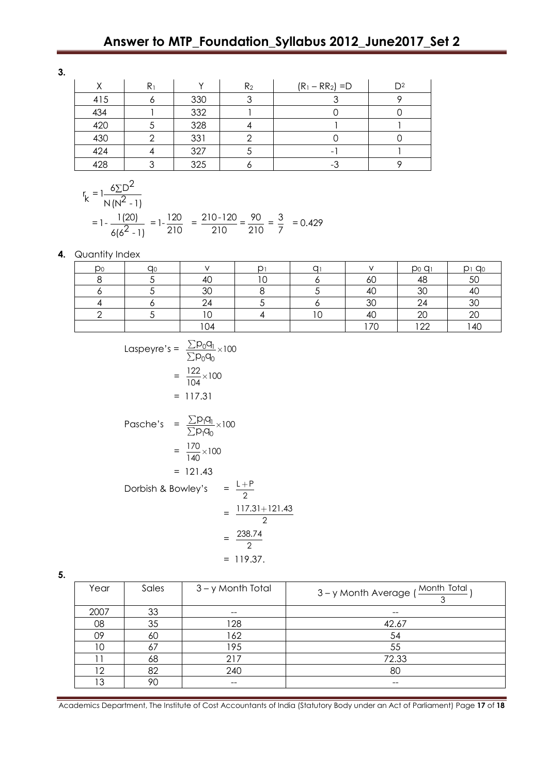# **Answer to MTP\_Foundation\_Syllabus 2012\_June2017\_Set 2**

**3.**

| ↗   | R <sub>1</sub> |     | R <sub>2</sub> | $(R_1 - RR_2) = D$ | $\mathsf{D}2$ |
|-----|----------------|-----|----------------|--------------------|---------------|
| 415 |                | 330 |                |                    |               |
| 434 |                | 332 |                |                    |               |
| 420 |                | 328 |                |                    |               |
| 430 |                | 331 |                |                    |               |
| 424 |                | 327 |                |                    |               |
| 428 |                | 325 |                |                    |               |

$$
\frac{428}{\binom{1}{2}} = \frac{3}{210} = \frac{325}{210} = \frac{6}{210} = \frac{10}{210} = \frac{10}{210} = \frac{10}{210} = \frac{10}{210} = \frac{10}{210} = \frac{10}{210} = \frac{10}{210} = \frac{10}{210} = \frac{10}{210} = \frac{10}{210} = \frac{10}{210} = \frac{10}{210} = \frac{10}{210} = \frac{10}{210} = \frac{10}{210} = \frac{10}{210} = \frac{10}{210} = \frac{10}{210} = \frac{10}{210} = \frac{10}{210} = \frac{10}{210} = \frac{10}{210} = \frac{10}{210} = \frac{10}{210} = \frac{10}{210} = \frac{10}{210} = \frac{10}{210} = \frac{10}{210} = \frac{10}{210} = \frac{10}{210} = \frac{10}{210} = \frac{10}{210} = \frac{10}{210} = \frac{10}{210} = \frac{10}{210} = \frac{10}{210} = \frac{10}{210} = \frac{10}{210} = \frac{10}{210} = \frac{10}{210} = \frac{10}{210} = \frac{10}{210} = \frac{10}{210} = \frac{10}{210} = \frac{10}{210} = \frac{10}{210} = \frac{10}{210} = \frac{10}{210} = \frac{10}{210} = \frac{10}{210} = \frac{10}{210} = \frac{10}{210} = \frac{10}{210} = \frac{10}{210} = \frac{10}{210} = \frac{10}{210} = \frac{10}{210} = \frac{10}{210} = \frac{10}{210} = \frac{10}{210} = \frac{10}{210} = \frac{10}{210} = \frac{10}{210} = \frac{10}{210} = \frac{10}{21
$$

#### **4.** Quantity Index

| Do | <b>a</b> c |                       | ⌒ |    | DoQ1                           | $D1$ $Q0$ |
|----|------------|-----------------------|---|----|--------------------------------|-----------|
|    |            | $\overline{ }$<br>-40 |   | 6U | $\overline{\phantom{0}}$<br>46 | 50        |
|    |            | ാറ<br>υU              |   | 40 | ാറ<br>υU                       | 40        |
|    |            | $\sim$                |   | 30 | $\sim$                         | 30        |
|    |            | $\sim$ $\sim$         |   | 40 | $\sim$<br>∠∪                   | 20        |
|    |            | 04                    |   | 70 | $1 \cap \Omega$                | 40        |

Laspeyre's = 
$$
\frac{\sum p_0 q_1}{\sum p_0 q_0} \times 100
$$
  
\n= 
$$
\frac{122}{104} \times 100
$$
  
\n= 117.31  
\nPasche's = 
$$
\frac{\sum p_1 q_1}{\sum p_1 q_0} \times 100
$$
  
\n= 
$$
\frac{170}{140} \times 100
$$
  
\n= 121.43  
\nDorbish & Bowley's = 
$$
\frac{L+P}{2}
$$
  
\n= 
$$
\frac{117.31+121.43}{2}
$$
  
\n= 
$$
\frac{238.74}{2}
$$
  
\n= 119.37.

**5.**

| Year | Sales | 3 – y Month Total | , <u>Month Total</u><br>3-y Month Average (<br>◠ |
|------|-------|-------------------|--------------------------------------------------|
| 2007 | 33    | --                | --                                               |
| 08   | 35    | 128               | 42.67                                            |
| 09   | 60    | 162               | 54                                               |
| 10   | 67    | 195               | 55                                               |
|      | 68    | 217               | 72.33                                            |
| 12   | 82    | 240               | 80                                               |
| 13   | 90    | --                | $- -$                                            |

Academics Department, The Institute of Cost Accountants of India (Statutory Body under an Act of Parliament) Page **17** of **18**